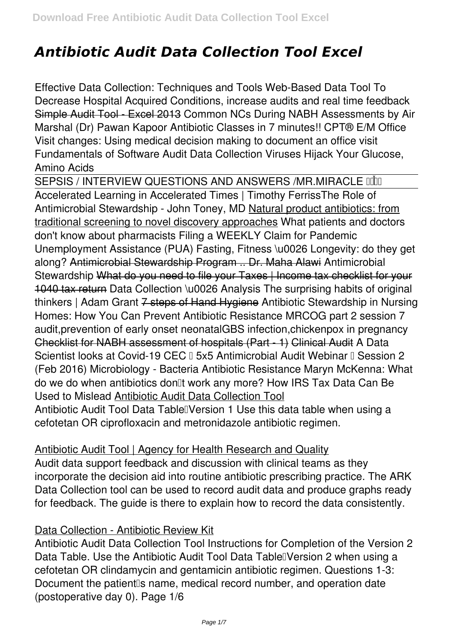# *Antibiotic Audit Data Collection Tool Excel*

*Effective Data Collection: Techniques and Tools Web-Based Data Tool To Decrease Hospital Acquired Conditions, increase audits and real time feedback* Simple Audit Tool - Excel 2013 Common NCs During NABH Assessments by Air Marshal (Dr) Pawan Kapoor Antibiotic Classes in 7 minutes!! CPT® E/M Office Visit changes: Using medical decision making to document an office visit Fundamentals of Software Audit Data Collection **Viruses Hijack Your Glucose, Amino Acids**

SEPSIS / INTERVIEW QUESTIONS AND ANSWERS /MR.MIRACLE DOOD Accelerated Learning in Accelerated Times | Timothy Ferriss*The Role of Antimicrobial Stewardship - John Toney, MD* Natural product antibiotics: from traditional screening to novel discovery approaches What patients and doctors don't know about pharmacists **Filing a WEEKLY Claim for Pandemic Unemployment Assistance (PUA)** *Fasting, Fitness \u0026 Longevity: do they get along?* Antimicrobial Stewardship Program .. Dr. Maha Alawi *Antimicrobial Stewardship* What do you need to file your Taxes | Income tax checklist for your 1040 tax return **Data Collection \u0026 Analysis** The surprising habits of original thinkers | Adam Grant <del>7 steps of Hand Hygiene</del> Antibiotic Stewardship in Nursing Homes: How You Can Prevent Antibiotic Resistance *MRCOG part 2 session 7 audit,prevention of early onset neonatalGBS infection,chickenpox in pregnancy* Checklist for NABH assessment of hospitals (Part - 1) Clinical Audit A Data Scientist looks at Covid-19 CEC <sup>[</sup> 5x5 Antimicrobial Audit Webinar <sup>[]</sup> Session 2 **(Feb 2016) Microbiology - Bacteria Antibiotic Resistance Maryn McKenna: What do we do when antibiotics don't work any more? How IRS Tax Data Can Be Used to Mislead** Antibiotic Audit Data Collection Tool Antibiotic Audit Tool Data Table<sup>[]</sup> Version 1 Use this data table when using a cefotetan OR ciprofloxacin and metronidazole antibiotic regimen.

#### Antibiotic Audit Tool | Agency for Health Research and Quality

Audit data support feedback and discussion with clinical teams as they incorporate the decision aid into routine antibiotic prescribing practice. The ARK Data Collection tool can be used to record audit data and produce graphs ready for feedback. The guide is there to explain how to record the data consistently.

#### Data Collection - Antibiotic Review Kit

Antibiotic Audit Data Collection Tool Instructions for Completion of the Version 2 Data Table. Use the Antibiotic Audit Tool Data Table<sup>[]</sup> Version 2 when using a cefotetan OR clindamycin and gentamicin antibiotic regimen. Questions 1-3: Document the patient<sup>'</sup>s name, medical record number, and operation date (postoperative day 0). Page 1/6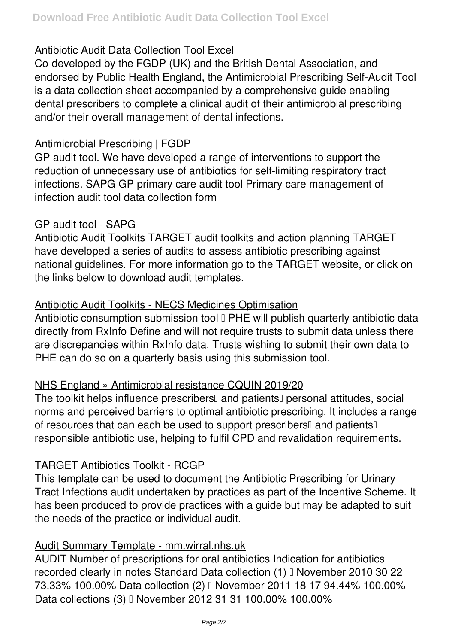#### Antibiotic Audit Data Collection Tool Excel

Co-developed by the FGDP (UK) and the British Dental Association, and endorsed by Public Health England, the Antimicrobial Prescribing Self-Audit Tool is a data collection sheet accompanied by a comprehensive guide enabling dental prescribers to complete a clinical audit of their antimicrobial prescribing and/or their overall management of dental infections.

#### Antimicrobial Prescribing | FGDP

GP audit tool. We have developed a range of interventions to support the reduction of unnecessary use of antibiotics for self-limiting respiratory tract infections. SAPG GP primary care audit tool Primary care management of infection audit tool data collection form

#### GP audit tool - SAPG

Antibiotic Audit Toolkits TARGET audit toolkits and action planning TARGET have developed a series of audits to assess antibiotic prescribing against national guidelines. For more information go to the TARGET website, or click on the links below to download audit templates.

#### Antibiotic Audit Toolkits - NECS Medicines Optimisation

Antibiotic consumption submission tool  $\Box$  PHE will publish quarterly antibiotic data directly from RxInfo Define and will not require trusts to submit data unless there are discrepancies within RxInfo data. Trusts wishing to submit their own data to PHE can do so on a quarterly basis using this submission tool.

#### NHS England » Antimicrobial resistance CQUIN 2019/20

The toolkit helps influence prescribers<sup>[]</sup> and patients<sup>[]</sup> personal attitudes, social norms and perceived barriers to optimal antibiotic prescribing. It includes a range of resources that can each be used to support prescribers<sup>[]</sup> and patients<sup>[]</sup> responsible antibiotic use, helping to fulfil CPD and revalidation requirements.

#### TARGET Antibiotics Toolkit - RCGP

This template can be used to document the Antibiotic Prescribing for Urinary Tract Infections audit undertaken by practices as part of the Incentive Scheme. It has been produced to provide practices with a guide but may be adapted to suit the needs of the practice or individual audit.

#### Audit Summary Template - mm.wirral.nhs.uk

AUDIT Number of prescriptions for oral antibiotics Indication for antibiotics recorded clearly in notes Standard Data collection (1) I November 2010 30 22 73.33% 100.00% Data collection (2) – November 2011 18 17 94.44% 100.00% Data collections (3) <sup>0</sup> November 2012 31 31 100.00% 100.00%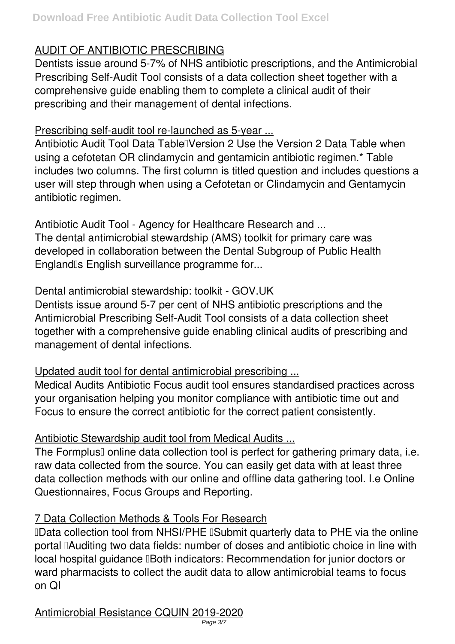# AUDIT OF ANTIBIOTIC PRESCRIBING

Dentists issue around 5-7% of NHS antibiotic prescriptions, and the Antimicrobial Prescribing Self-Audit Tool consists of a data collection sheet together with a comprehensive guide enabling them to complete a clinical audit of their prescribing and their management of dental infections.

# Prescribing self-audit tool re-launched as 5-year ...

Antibiotic Audit Tool Data Table<sup>r</sup> Version 2 Use the Version 2 Data Table when using a cefotetan OR clindamycin and gentamicin antibiotic regimen.\* Table includes two columns. The first column is titled question and includes questions a user will step through when using a Cefotetan or Clindamycin and Gentamycin antibiotic regimen.

Antibiotic Audit Tool - Agency for Healthcare Research and ... The dental antimicrobial stewardship (AMS) toolkit for primary care was developed in collaboration between the Dental Subgroup of Public Health England<sup>®</sup>s English surveillance programme for...

# Dental antimicrobial stewardship: toolkit - GOV.UK

Dentists issue around 5-7 per cent of NHS antibiotic prescriptions and the Antimicrobial Prescribing Self-Audit Tool consists of a data collection sheet together with a comprehensive guide enabling clinical audits of prescribing and management of dental infections.

# Updated audit tool for dental antimicrobial prescribing ...

Medical Audits Antibiotic Focus audit tool ensures standardised practices across your organisation helping you monitor compliance with antibiotic time out and Focus to ensure the correct antibiotic for the correct patient consistently.

# Antibiotic Stewardship audit tool from Medical Audits ...

The Formplus<sup>[]</sup> online data collection tool is perfect for gathering primary data, i.e. raw data collected from the source. You can easily get data with at least three data collection methods with our online and offline data gathering tool. I.e Online Questionnaires, Focus Groups and Reporting.

# 7 Data Collection Methods & Tools For Research

**Data collection tool from NHSI/PHE ISubmit quarterly data to PHE via the online** portal **LAuditing two data fields: number of doses and antibiotic choice in line with** local hospital guidance **Both indicators: Recommendation for junior doctors or** ward pharmacists to collect the audit data to allow antimicrobial teams to focus on QI

Antimicrobial Resistance CQUIN 2019-2020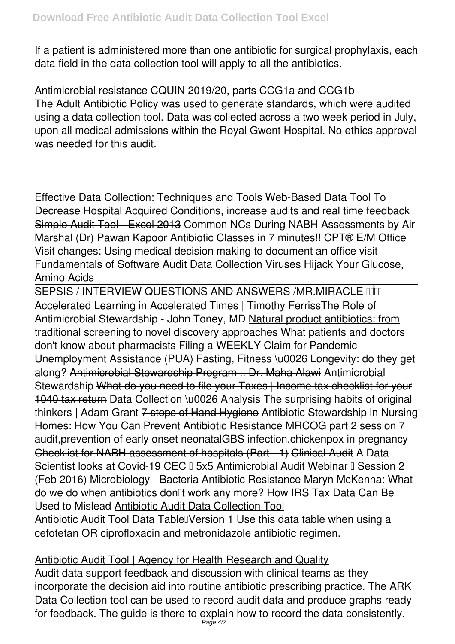If a patient is administered more than one antibiotic for surgical prophylaxis, each data field in the data collection tool will apply to all the antibiotics.

Antimicrobial resistance CQUIN 2019/20, parts CCG1a and CCG1b The Adult Antibiotic Policy was used to generate standards, which were audited using a data collection tool. Data was collected across a two week period in July, upon all medical admissions within the Royal Gwent Hospital. No ethics approval was needed for this audit.

*Effective Data Collection: Techniques and Tools Web-Based Data Tool To Decrease Hospital Acquired Conditions, increase audits and real time feedback* Simple Audit Tool - Excel 2013 Common NCs During NABH Assessments by Air Marshal (Dr) Pawan Kapoor Antibiotic Classes in 7 minutes!! CPT® E/M Office Visit changes: Using medical decision making to document an office visit Fundamentals of Software Audit Data Collection **Viruses Hijack Your Glucose, Amino Acids**

SEPSIS / INTERVIEW QUESTIONS AND ANSWERS /MR.MIRACLE **[1001]** 

Accelerated Learning in Accelerated Times | Timothy Ferriss*The Role of Antimicrobial Stewardship - John Toney, MD* Natural product antibiotics: from traditional screening to novel discovery approaches What patients and doctors don't know about pharmacists **Filing a WEEKLY Claim for Pandemic Unemployment Assistance (PUA)** *Fasting, Fitness \u0026 Longevity: do they get along?* Antimicrobial Stewardship Program .. Dr. Maha Alawi *Antimicrobial Stewardship* What do you need to file your Taxes | Income tax checklist for your 1040 tax return **Data Collection \u0026 Analysis** The surprising habits of original thinkers | Adam Grant <del>7 steps of Hand Hygiene</del> Antibiotic Stewardship in Nursing Homes: How You Can Prevent Antibiotic Resistance *MRCOG part 2 session 7 audit,prevention of early onset neonatalGBS infection,chickenpox in pregnancy* Checklist for NABH assessment of hospitals (Part - 1) Clinical Audit A Data Scientist looks at Covid-19 CEC **L5x5** Antimicrobial Audit Webinar L Session 2 **(Feb 2016) Microbiology - Bacteria Antibiotic Resistance Maryn McKenna: What do we do when antibiotics don't work any more? How IRS Tax Data Can Be Used to Mislead** Antibiotic Audit Data Collection Tool Antibiotic Audit Tool Data Table<sup>[]</sup> Version 1 Use this data table when using a cefotetan OR ciprofloxacin and metronidazole antibiotic regimen.

# Antibiotic Audit Tool | Agency for Health Research and Quality

Audit data support feedback and discussion with clinical teams as they incorporate the decision aid into routine antibiotic prescribing practice. The ARK Data Collection tool can be used to record audit data and produce graphs ready for feedback. The guide is there to explain how to record the data consistently. Page 4/7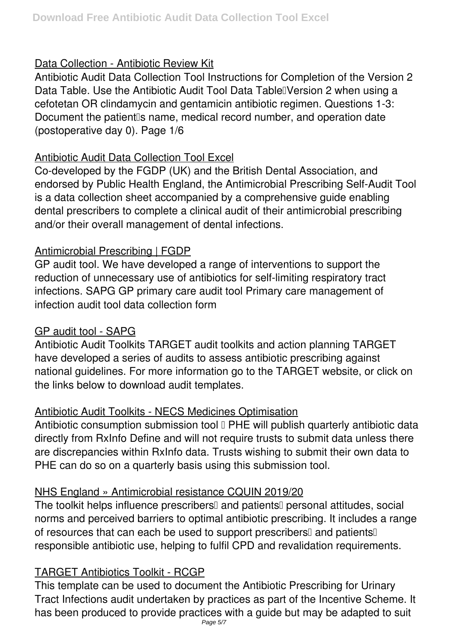# Data Collection - Antibiotic Review Kit

Antibiotic Audit Data Collection Tool Instructions for Completion of the Version 2 Data Table. Use the Antibiotic Audit Tool Data Table<sup>n</sup>Version 2 when using a cefotetan OR clindamycin and gentamicin antibiotic regimen. Questions 1-3: Document the patient<sup>'</sup>s name, medical record number, and operation date (postoperative day 0). Page 1/6

# Antibiotic Audit Data Collection Tool Excel

Co-developed by the FGDP (UK) and the British Dental Association, and endorsed by Public Health England, the Antimicrobial Prescribing Self-Audit Tool is a data collection sheet accompanied by a comprehensive guide enabling dental prescribers to complete a clinical audit of their antimicrobial prescribing and/or their overall management of dental infections.

# Antimicrobial Prescribing | FGDP

GP audit tool. We have developed a range of interventions to support the reduction of unnecessary use of antibiotics for self-limiting respiratory tract infections. SAPG GP primary care audit tool Primary care management of infection audit tool data collection form

## GP audit tool - SAPG

Antibiotic Audit Toolkits TARGET audit toolkits and action planning TARGET have developed a series of audits to assess antibiotic prescribing against national guidelines. For more information go to the TARGET website, or click on the links below to download audit templates.

## Antibiotic Audit Toolkits - NECS Medicines Optimisation

Antibiotic consumption submission tool  $\Box$  PHE will publish quarterly antibiotic data directly from RxInfo Define and will not require trusts to submit data unless there are discrepancies within RxInfo data. Trusts wishing to submit their own data to PHE can do so on a quarterly basis using this submission tool.

# NHS England » Antimicrobial resistance CQUIN 2019/20

The toolkit helps influence prescribers<sup>[]</sup> and patients<sup>[]</sup> personal attitudes, social norms and perceived barriers to optimal antibiotic prescribing. It includes a range of resources that can each be used to support prescribers<sup>[]</sup> and patients<sup>[]</sup> responsible antibiotic use, helping to fulfil CPD and revalidation requirements.

## TARGET Antibiotics Toolkit - RCGP

This template can be used to document the Antibiotic Prescribing for Urinary Tract Infections audit undertaken by practices as part of the Incentive Scheme. It has been produced to provide practices with a guide but may be adapted to suit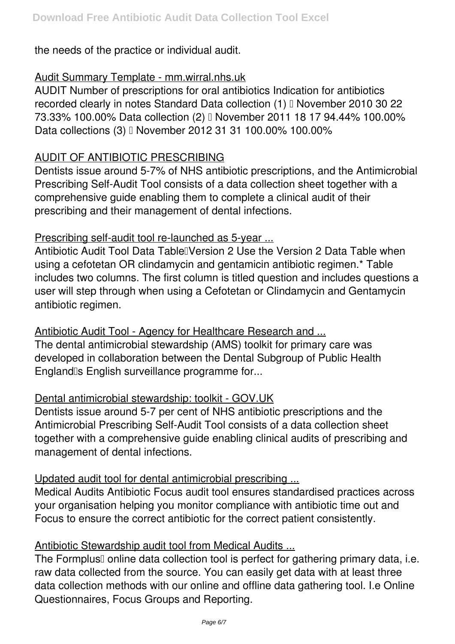the needs of the practice or individual audit.

# Audit Summary Template - mm.wirral.nhs.uk

AUDIT Number of prescriptions for oral antibiotics Indication for antibiotics recorded clearly in notes Standard Data collection (1) I November 2010 30 22 73.33% 100.00% Data collection (2) – November 2011 18 17 94.44% 100.00% Data collections (3) D November 2012 31 31 100.00% 100.00%

# AUDIT OF ANTIBIOTIC PRESCRIBING

Dentists issue around 5-7% of NHS antibiotic prescriptions, and the Antimicrobial Prescribing Self-Audit Tool consists of a data collection sheet together with a comprehensive guide enabling them to complete a clinical audit of their prescribing and their management of dental infections.

## Prescribing self-audit tool re-launched as 5-year ...

Antibiotic Audit Tool Data Table<sup>[]</sup> Version 2 Use the Version 2 Data Table when using a cefotetan OR clindamycin and gentamicin antibiotic regimen.\* Table includes two columns. The first column is titled question and includes questions a user will step through when using a Cefotetan or Clindamycin and Gentamycin antibiotic regimen.

Antibiotic Audit Tool - Agency for Healthcare Research and ... The dental antimicrobial stewardship (AMS) toolkit for primary care was developed in collaboration between the Dental Subgroup of Public Health England<sup>®</sup>s English surveillance programme for...

## Dental antimicrobial stewardship: toolkit - GOV.UK

Dentists issue around 5-7 per cent of NHS antibiotic prescriptions and the Antimicrobial Prescribing Self-Audit Tool consists of a data collection sheet together with a comprehensive guide enabling clinical audits of prescribing and management of dental infections.

## Updated audit tool for dental antimicrobial prescribing ...

Medical Audits Antibiotic Focus audit tool ensures standardised practices across your organisation helping you monitor compliance with antibiotic time out and Focus to ensure the correct antibiotic for the correct patient consistently.

## Antibiotic Stewardship audit tool from Medical Audits ...

The Formplus<sup>[]</sup> online data collection tool is perfect for gathering primary data, i.e. raw data collected from the source. You can easily get data with at least three data collection methods with our online and offline data gathering tool. I.e Online Questionnaires, Focus Groups and Reporting.